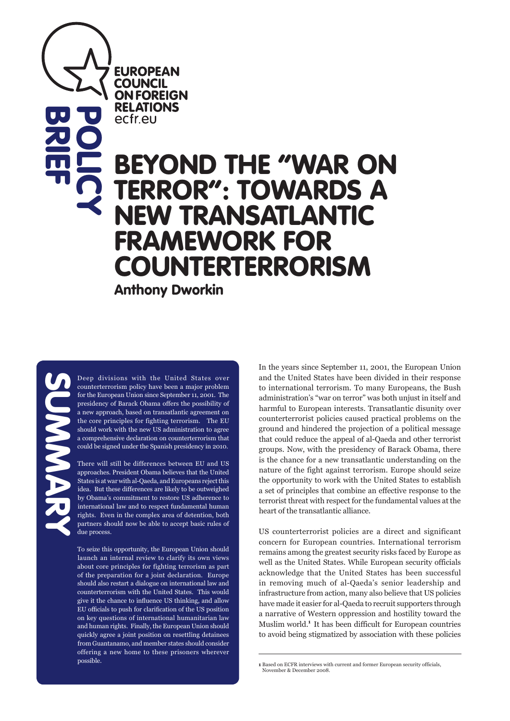**EUROPEAN COUNCIL ON FOREIGN RELATIONS** ecfreu

POLICY

CD<br>乙<br>m

F

# Beyond the "War on Terror": Towards a New Transatlantic Framework for **COUNTERTERRORISM**

Anthony Dworkin

SUMMARY

Deep divisions with the United States over counterterrorism policy have been a major problem for the European Union since September 11, 2001. The presidency of Barack Obama offers the possibility of a new approach, based on transatlantic agreement on the core principles for fighting terrorism. The EU should work with the new US administration to agree a comprehensive declaration on counterterrorism that could be signed under the Spanish presidency in 2010.

There will still be differences between EU and US approaches. President Obama believes that the United States is at war with al-Qaeda, and Europeans reject this idea. But these differences are likely to be outweighed by Obama's commitment to restore US adherence to international law and to respect fundamental human rights. Even in the complex area of detention, both partners should now be able to accept basic rules of due process.

To seize this opportunity, the European Union should launch an internal review to clarify its own views about core principles for fighting terrorism as part of the preparation for a joint declaration. Europe should also restart a dialogue on international law and counterterrorism with the United States. This would give it the chance to influence US thinking, and allow EU officials to push for clarification of the US position on key questions of international humanitarian law and human rights. Finally, the European Union should quickly agree a joint position on resettling detainees from Guantanamo, and member states should consider offering a new home to these prisoners wherever possible.

In the years since September 11, 2001, the European Union and the United States have been divided in their response to international terrorism. To many Europeans, the Bush administration's "war on terror" was both unjust in itself and harmful to European interests. Transatlantic disunity over counterterrorist policies caused practical problems on the ground and hindered the projection of a political message that could reduce the appeal of al-Qaeda and other terrorist groups. Now, with the presidency of Barack Obama, there is the chance for a new transatlantic understanding on the nature of the fight against terrorism. Europe should seize the opportunity to work with the United States to establish a set of principles that combine an effective response to the terrorist threat with respect for the fundamental values at the heart of the transatlantic alliance.

US counterterrorist policies are a direct and significant concern for European countries. International terrorism remains among the greatest security risks faced by Europe as well as the United States. While European security officials acknowledge that the United States has been successful in removing much of al-Qaeda's senior leadership and infrastructure from action, many also believe that US policies have made it easier for al-Qaeda to recruit supporters through a narrative of Western oppression and hostility toward the Muslim world.**<sup>1</sup>**It has been difficult for European countries to avoid being stigmatized by association with these policies

**<sup>1</sup>** Based on ECFR interviews with current and former European security officials, November & December 2008.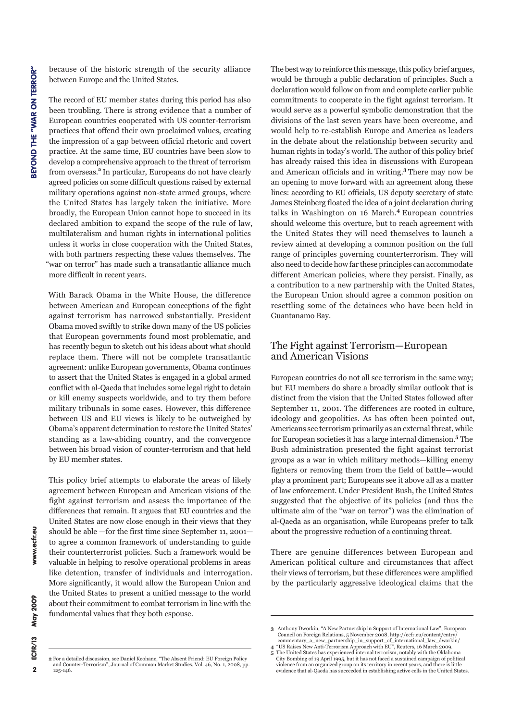Terror" BEYOND THE "WAR ON TERROR" Beyond the "War on

because of the historic strength of the security alliance between Europe and the United States.

The record of EU member states during this period has also been troubling. There is strong evidence that a number of European countries cooperated with US counter-terrorism practices that offend their own proclaimed values, creating the impression of a gap between official rhetoric and covert practice. At the same time, EU countries have been slow to develop a comprehensive approach to the threat of terrorism from overseas.**<sup>2</sup>**In particular, Europeans do not have clearly agreed policies on some difficult questions raised by external military operations against non-state armed groups, where the United States has largely taken the initiative. More broadly, the European Union cannot hope to succeed in its declared ambition to expand the scope of the rule of law, multilateralism and human rights in international politics unless it works in close cooperation with the United States, with both partners respecting these values themselves. The "war on terror" has made such a transatlantic alliance much more difficult in recent years.

With Barack Obama in the White House, the difference between American and European conceptions of the fight against terrorism has narrowed substantially. President Obama moved swiftly to strike down many of the US policies that European governments found most problematic, and has recently begun to sketch out his ideas about what should replace them. There will not be complete transatlantic agreement: unlike European governments, Obama continues to assert that the United States is engaged in a global armed conflict with al-Qaeda that includes some legal right to detain or kill enemy suspects worldwide, and to try them before military tribunals in some cases. However, this difference between US and EU views is likely to be outweighed by Obama's apparent determination to restore the United States' standing as a law-abiding country, and the convergence between his broad vision of counter-terrorism and that held by EU member states.

This policy brief attempts to elaborate the areas of likely agreement between European and American visions of the fight against terrorism and assess the importance of the differences that remain. It argues that EU countries and the United States are now close enough in their views that they should be able —for the first time since September 11, 2001 to agree a common framework of understanding to guide their counterterrorist policies. Such a framework would be valuable in helping to resolve operational problems in areas like detention, transfer of individuals and interrogation. More significantly, it would allow the European Union and the United States to present a unified message to the world about their commitment to combat terrorism in line with the fundamental values that they both espouse.

The best way to reinforce this message, this policy brief argues, would be through a public declaration of principles. Such a declaration would follow on from and complete earlier public commitments to cooperate in the fight against terrorism. It would serve as a powerful symbolic demonstration that the divisions of the last seven years have been overcome, and would help to re-establish Europe and America as leaders in the debate about the relationship between security and human rights in today's world. The author of this policy brief has already raised this idea in discussions with European and American officials and in writing.**<sup>3</sup>**There may now be an opening to move forward with an agreement along these lines: according to EU officials, US deputy secretary of state James Steinberg floated the idea of a joint declaration during talks in Washington on 16 March.**<sup>4</sup>**European countries should welcome this overture, but to reach agreement with the United States they will need themselves to launch a review aimed at developing a common position on the full range of principles governing counterterrorism. They will also need to decide how far these principles can accommodate different American policies, where they persist. Finally, as a contribution to a new partnership with the United States, the European Union should agree a common position on resettling some of the detainees who have been held in Guantanamo Bay.

#### The Fight against Terrorism—European and American Visions

European countries do not all see terrorism in the same way; but EU members do share a broadly similar outlook that is distinct from the vision that the United States followed after September 11, 2001. The differences are rooted in culture, ideology and geopolitics. As has often been pointed out, Americans see terrorism primarily as an external threat, while for European societies it has a large internal dimension.**<sup>5</sup>** The Bush administration presented the fight against terrorist groups as a war in which military methods—killing enemy fighters or removing them from the field of battle—would play a prominent part; Europeans see it above all as a matter of law enforcement. Under President Bush, the United States suggested that the objective of its policies (and thus the ultimate aim of the "war on terror") was the elimination of al-Qaeda as an organisation, while Europeans prefer to talk about the progressive reduction of a continuing threat.

There are genuine differences between European and American political culture and circumstances that affect their views of terrorism, but these differences were amplified by the particularly aggressive ideological claims that the

 $\overline{2}$ 

**<sup>3</sup>** Anthony Dworkin, "A New Partnership in Support of International Law", European Council on Foreign Relations, 5 November 2008, http://ecfr.eu/content/entry/

commentary\_a\_new\_partnership\_in\_support\_of\_international\_law\_dworkin/<br>4 "US Raises New Anti-Terrorism Approach with EU", Reuters, 16 March 2009.<br>5 The United States has experienced internal terrorism, notably with the Okla City Bombing of 19 April 1995, but it has not faced a sustained campaign of political violence from an organized group on its territory in recent years, and there is little evidence that al-Qaeda has succeeded in establishing active cells in the United States.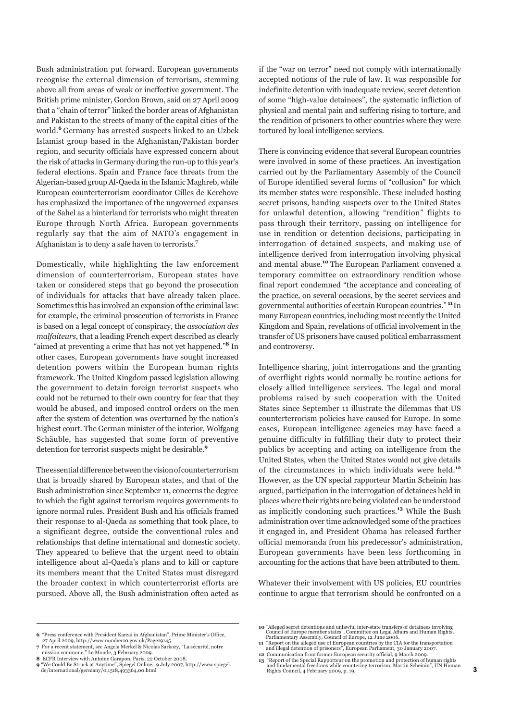Bush administration put forward. European governments recognise the external dimension of terrorism, stemming above all from areas of weak or ineffective government. The British prime minister, Gordon Brown, said on 27 April 2009 that a "chain of terror" linked the border areas of Afghanistan and Pakistan to the streets of many of the capital cities of the world.<sup>6</sup> Germany has arrested suspects linked to an Uzbek Islamist group based in the Afghanistan/Pakistan border region, and security officials have expressed concern about the risk of attacks in Germany during the run-up to this year's federal elections. Spain and France face threats from the Algerian-based group Al-Qaeda in the Islamic Maghreb, while European counterterrorism coordinator Gilles de Kerchove has emphasized the importance of the ungoverned expanses of the Sahel as a hinterland for terrorists who might threaten Europe through North Africa. European governments regularly say that the aim of NATO's engagement in Afghanistan is to deny a safe haven to terrorists.**<sup>7</sup>**

Domestically, while highlighting the law enforcement dimension of counterterrorism, European states have taken or considered steps that go beyond the prosecution of individuals for attacks that have already taken place. Sometimes this has involved an expansion of the criminal law: for example, the criminal prosecution of terrorists in France is based on a legal concept of conspiracy, the *association des malfaiteurs*, that a leading French expert described as clearly "aimed at preventing a crime that has not yet happened."**<sup>8</sup>** In other cases, European governments have sought increased detention powers within the European human rights framework. The United Kingdom passed legislation allowing the government to detain foreign terrorist suspects who could not be returned to their own country for fear that they would be abused, and imposed control orders on the men after the system of detention was overturned by the nation's highest court. The German minister of the interior, Wolfgang Schäuble, has suggested that some form of preventive detention for terrorist suspects might be desirable.**<sup>9</sup>**

The essential difference between the vision of counterterrorism that is broadly shared by European states, and that of the Bush administration since September 11, concerns the degree to which the fight against terrorism requires governments to ignore normal rules. President Bush and his officials framed their response to al-Qaeda as something that took place, to a significant degree, outside the conventional rules and relationships that define international and domestic society. They appeared to believe that the urgent need to obtain intelligence about al-Qaeda's plans and to kill or capture its members meant that the United States must disregard the broader context in which counterterrorist efforts are pursued. Above all, the Bush administration often acted as

if the "war on terror" need not comply with internationally accepted notions of the rule of law. It was responsible for indefinite detention with inadequate review, secret detention of some "high-value detainees", the systematic infliction of physical and mental pain and suffering rising to torture, and the rendition of prisoners to other countries where they were tortured by local intelligence services.

There is convincing evidence that several European countries were involved in some of these practices. An investigation carried out by the Parliamentary Assembly of the Council of Europe identified several forms of "collusion" for which its member states were responsible. These included hosting secret prisons, handing suspects over to the United States for unlawful detention, allowing "rendition" flights to pass through their territory, passing on intelligence for use in rendition or detention decisions, participating in interrogation of detained suspects, and making use of intelligence derived from interrogation involving physical and mental abuse.**<sup>10</sup>**The European Parliament convened a temporary committee on extraordinary rendition whose final report condemned "the acceptance and concealing of the practice, on several occasions, by the secret services and governmental authorities of certain European countries." **<sup>11</sup>**In many European countries, including most recently the United Kingdom and Spain, revelations of official involvement in the transfer of US prisoners have caused political embarrassment and controversy.

Intelligence sharing, joint interrogations and the granting of overflight rights would normally be routine actions for closely allied intelligence services. The legal and moral problems raised by such cooperation with the United States since September 11 illustrate the dilemmas that US counterterrorism policies have caused for Europe. In some cases, European intelligence agencies may have faced a genuine difficulty in fulfilling their duty to protect their publics by accepting and acting on intelligence from the United States, when the United States would not give details of the circumstances in which individuals were held.**<sup>12</sup>** However, as the UN special rapporteur Martin Scheinin has argued, participation in the interrogation of detainees held in places where their rights are being violated can be understood as implicitly condoning such practices.**<sup>13</sup>** While the Bush administration over time acknowledged some of the practices it engaged in, and President Obama has released further official memoranda from his predecessor's administration, European governments have been less forthcoming in accounting for the actions that have been attributed to them.

Whatever their involvement with US policies, EU countries continue to argue that terrorism should be confronted on a

**<sup>6</sup>** "Press conference with President Karzai in Afghanistan", Prime Minister's Office,

<sup>27</sup> April 2009, http://www.number10.gov.uk/Page19145. **7** For a recent statement, see Angela Merkel & Nicolas Sarkozy, "La sécurité, notre mission commune," Le Monde, 3 February 2009. **8** ECFR Interview with Antoine Garapon, Paris, 22 October 2008.

**<sup>9</sup>** "We Could Be Struck at Anytime", Spiegel Online, 9 July 2007, http://www.spiegel. de/international/germany/0,1518,493364,00.html

<sup>10 &</sup>quot;Alleged secret detentions and unlawful inter-state transfers of detainees involving<br>Council of Europe member states", Committee on Legal Affairs and Human Rights,<br>Parliamentary Assembly, Council of Europe, 12 June 2006

<sup>11 &</sup>quot;Report on the alleged use of European countries by the CIA for the transportation<br>and illegal detention of prisoners", European Parliament, 30 January 2007.<br>12 Communication from former European security official, 9 Ma

**<sup>13</sup>** "Report of the Special Rapporteur on the promotion and protection of human rights and fundamental freedoms while countering terrorism, Martin Scheinin", UN Human Rights Council, 4 February 2009, p. 19.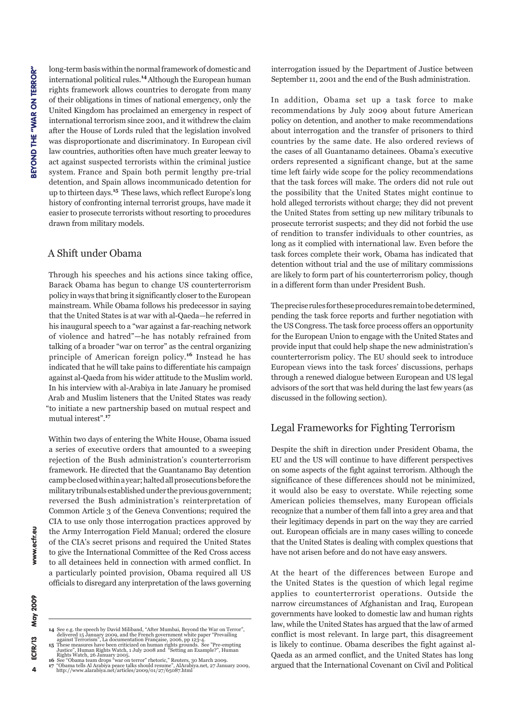long-term basis within the normal framework of domestic and international political rules.**<sup>14</sup>**Although the European human rights framework allows countries to derogate from many of their obligations in times of national emergency, only the United Kingdom has proclaimed an emergency in respect of international terrorism since 2001, and it withdrew the claim after the House of Lords ruled that the legislation involved was disproportionate and discriminatory. In European civil law countries, authorities often have much greater leeway to act against suspected terrorists within the criminal justice system. France and Spain both permit lengthy pre-trial detention, and Spain allows incommunicado detention for up to thirteen days.**<sup>15</sup>** These laws, which reflect Europe's long history of confronting internal terrorist groups, have made it easier to prosecute terrorists without resorting to procedures drawn from military models.

# A Shift under Obama

Through his speeches and his actions since taking office, Barack Obama has begun to change US counterterrorism policy in ways that bring it significantly closer to the European mainstream. While Obama follows his predecessor in saying that the United States is at war with al-Qaeda—he referred in his inaugural speech to a "war against a far-reaching network of violence and hatred"—he has notably refrained from talking of a broader "war on terror" as the central organizing principle of American foreign policy.**<sup>16</sup>** Instead he has indicated that he will take pains to differentiate his campaign against al-Qaeda from his wider attitude to the Muslim world. In his interview with al-Arabiya in late January he promised Arab and Muslim listeners that the United States was ready "to initiate a new partnership based on mutual respect and mutual interest".**<sup>17</sup>**

Within two days of entering the White House, Obama issued a series of executive orders that amounted to a sweeping rejection of the Bush administration's counterterrorism framework. He directed that the Guantanamo Bay detention camp be closed within a year; halted all prosecutions before the military tribunals established under the previous government; reversed the Bush administration's reinterpretation of Common Article 3 of the Geneva Conventions; required the CIA to use only those interrogation practices approved by the Army Interrogation Field Manual; ordered the closure of the CIA's secret prisons and required the United States to give the International Committee of the Red Cross access to all detainees held in connection with armed conflict. In a particularly pointed provision, Obama required all US officials to disregard any interpretation of the laws governing

interrogation issued by the Department of Justice between September 11, 2001 and the end of the Bush administration.

In addition, Obama set up a task force to make recommendations by July 2009 about future American policy on detention, and another to make recommendations about interrogation and the transfer of prisoners to third countries by the same date. He also ordered reviews of the cases of all Guantanamo detainees. Obama's executive orders represented a significant change, but at the same time left fairly wide scope for the policy recommendations that the task forces will make. The orders did not rule out the possibility that the United States might continue to hold alleged terrorists without charge; they did not prevent the United States from setting up new military tribunals to prosecute terrorist suspects; and they did not forbid the use of rendition to transfer individuals to other countries, as long as it complied with international law. Even before the task forces complete their work, Obama has indicated that detention without trial and the use of military commissions are likely to form part of his counterterrorism policy, though in a different form than under President Bush.

The precise rules for these procedures remain to be determined, pending the task force reports and further negotiation with the US Congress. The task force process offers an opportunity for the European Union to engage with the United States and provide input that could help shape the new administration's counterterrorism policy. The EU should seek to introduce European views into the task forces' discussions, perhaps through a renewed dialogue between European and US legal advisors of the sort that was held during the last few years (as discussed in the following section).

# Legal Frameworks for Fighting Terrorism

Despite the shift in direction under President Obama, the EU and the US will continue to have different perspectives on some aspects of the fight against terrorism. Although the significance of these differences should not be minimized, it would also be easy to overstate. While rejecting some American policies themselves, many European officials recognize that a number of them fall into a grey area and that their legitimacy depends in part on the way they are carried out. European officials are in many cases willing to concede that the United States is dealing with complex questions that have not arisen before and do not have easy answers.

At the heart of the differences between Europe and the United States is the question of which legal regime applies to counterterrorist operations. Outside the narrow circumstances of Afghanistan and Iraq, European governments have looked to domestic law and human rights law, while the United States has argued that the law of armed conflict is most relevant. In large part, this disagreement is likely to continue. Obama describes the fight against al-Qaeda as an armed conflict, and the United States has long argued that the International Covenant on Civil and Political

<sup>14</sup> See e.g. the speech by David Miliband, "After Mumbai, Beyond the War on Terror",<br>delivered 15 January 2009, and the French government white paper "Prevailing<br>against Terrorism", La documentation Française, 2006, pp 123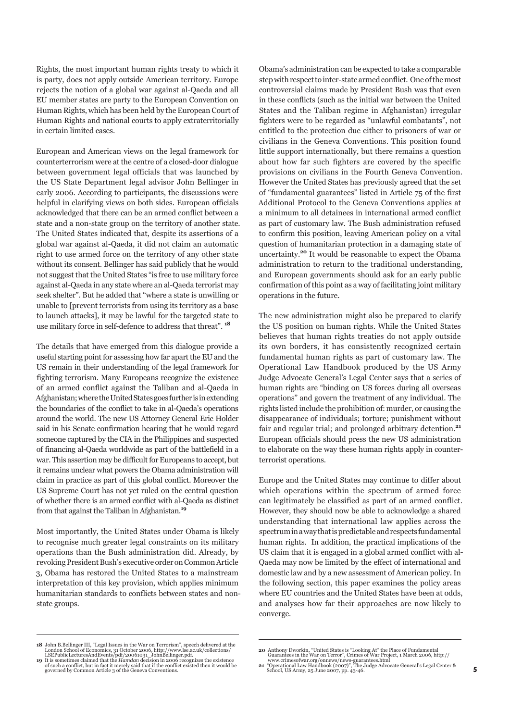Rights, the most important human rights treaty to which it is party, does not apply outside American territory. Europe rejects the notion of a global war against al-Qaeda and all EU member states are party to the European Convention on Human Rights, which has been held by the European Court of Human Rights and national courts to apply extraterritorially in certain limited cases.

European and American views on the legal framework for counterterrorism were at the centre of a closed-door dialogue between government legal officials that was launched by the US State Department legal advisor John Bellinger in early 2006. According to participants, the discussions were helpful in clarifying views on both sides. European officials acknowledged that there can be an armed conflict between a state and a non-state group on the territory of another state. The United States indicated that, despite its assertions of a global war against al-Qaeda, it did not claim an automatic right to use armed force on the territory of any other state without its consent. Bellinger has said publicly that he would not suggest that the United States "is free to use military force against al-Qaeda in any state where an al-Qaeda terrorist may seek shelter". But he added that "where a state is unwilling or unable to [prevent terrorists from using its territory as a base to launch attacks], it may be lawful for the targeted state to use military force in self-defence to address that threat". **<sup>18</sup>**

The details that have emerged from this dialogue provide a useful starting point for assessing how far apart the EU and the US remain in their understanding of the legal framework for fighting terrorism. Many Europeans recognize the existence of an armed conflict against the Taliban and al-Qaeda in Afghanistan; where the United States goes further is in extending the boundaries of the conflict to take in al-Qaeda's operations around the world. The new US Attorney General Eric Holder said in his Senate confirmation hearing that he would regard someone captured by the CIA in the Philippines and suspected of financing al-Qaeda worldwide as part of the battlefield in a war. This assertion may be difficult for Europeans to accept, but it remains unclear what powers the Obama administration will claim in practice as part of this global conflict. Moreover the US Supreme Court has not yet ruled on the central question of whether there is an armed conflict with al-Qaeda as distinct from that against the Taliban in Afghanistan.**<sup>19</sup>**

Most importantly, the United States under Obama is likely to recognise much greater legal constraints on its military operations than the Bush administration did. Already, by revoking President Bush's executive order on Common Article 3, Obama has restored the United States to a mainstream interpretation of this key provision, which applies minimum humanitarian standards to conflicts between states and nonstate groups.

Obama's administration can be expected to take a comparable step with respect to inter-state armed conflict. One of the most controversial claims made by President Bush was that even in these conflicts (such as the initial war between the United States and the Taliban regime in Afghanistan) irregular fighters were to be regarded as "unlawful combatants", not entitled to the protection due either to prisoners of war or civilians in the Geneva Conventions. This position found little support internationally, but there remains a question about how far such fighters are covered by the specific provisions on civilians in the Fourth Geneva Convention. However the United States has previously agreed that the set of "fundamental guarantees" listed in Article 75 of the first Additional Protocol to the Geneva Conventions applies at a minimum to all detainees in international armed conflict as part of customary law. The Bush administration refused to confirm this position, leaving American policy on a vital question of humanitarian protection in a damaging state of uncertainty.**<sup>20</sup>** It would be reasonable to expect the Obama administration to return to the traditional understanding, and European governments should ask for an early public confirmation of this point as a way of facilitating joint military operations in the future.

The new administration might also be prepared to clarify the US position on human rights. While the United States believes that human rights treaties do not apply outside its own borders, it has consistently recognized certain fundamental human rights as part of customary law. The Operational Law Handbook produced by the US Army Judge Advocate General's Legal Center says that a series of human rights are "binding on US forces during all overseas operations" and govern the treatment of any individual. The rights listed include the prohibition of: murder, or causing the disappearance of individuals; torture; punishment without fair and regular trial; and prolonged arbitrary detention.**<sup>21</sup>** European officials should press the new US administration to elaborate on the way these human rights apply in counterterrorist operations.

Europe and the United States may continue to differ about which operations within the spectrum of armed force can legitimately be classified as part of an armed conflict. However, they should now be able to acknowledge a shared understanding that international law applies across the spectrum in a way that is predictable and respects fundamental human rights. In addition, the practical implications of the US claim that it is engaged in a global armed conflict with al-Qaeda may now be limited by the effect of international and domestic law and by a new assessment of American policy. In the following section, this paper examines the policy areas where EU countries and the United States have been at odds, and analyses how far their approaches are now likely to converge.

<sup>18</sup> John B.Bellinger III, "Legal Issues in the War on Terrorism", speech delivered at the London School of Economics, 31 October 2006, http://www.lse.ac.uk/collections/ LSEPublicLectures<br>AndEvents/pdf/20061031\_JohnBellinge

**<sup>20</sup>** Anthony Dworkin, "United States is "Looking At" the Place of Fundamental Guarantees in the War on Terror", Crimes of War Project, 1 March 2006, http://<br>www.crimesofwar.org/onnews/news-guarantees.html<br>**21** "Operationa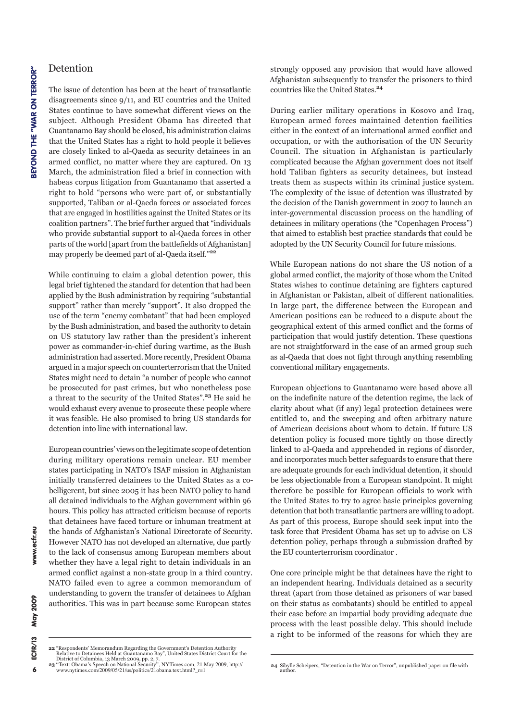## Detention

The issue of detention has been at the heart of transatlantic disagreements since 9/11, and EU countries and the United States continue to have somewhat different views on the subject. Although President Obama has directed that Guantanamo Bay should be closed, his administration claims that the United States has a right to hold people it believes are closely linked to al-Qaeda as security detainees in an armed conflict, no matter where they are captured. On 13 March, the administration filed a brief in connection with habeas corpus litigation from Guantanamo that asserted a right to hold "persons who were part of, or substantially supported, Taliban or al-Qaeda forces or associated forces that are engaged in hostilities against the United States or its coalition partners". The brief further argued that "individuals who provide substantial support to al-Qaeda forces in other parts of the world [apart from the battlefields of Afghanistan] may properly be deemed part of al-Qaeda itself."**<sup>22</sup>**

While continuing to claim a global detention power, this legal brief tightened the standard for detention that had been applied by the Bush administration by requiring "substantial support" rather than merely "support". It also dropped the use of the term "enemy combatant" that had been employed by the Bush administration, and based the authority to detain on US statutory law rather than the president's inherent power as commander-in-chief during wartime, as the Bush administration had asserted. More recently, President Obama argued in a major speech on counterterrorism that the United States might need to detain "a number of people who cannot be prosecuted for past crimes, but who nonetheless pose a threat to the security of the United States".**<sup>23</sup>** He said he would exhaust every avenue to prosecute these people where it was feasible. He also promised to bring US standards for detention into line with international law.

European countries' views on the legitimate scope of detention during military operations remain unclear. EU member states participating in NATO's ISAF mission in Afghanistan initially transferred detainees to the United States as a cobelligerent, but since 2005 it has been NATO policy to hand all detained individuals to the Afghan government within 96 hours. This policy has attracted criticism because of reports that detainees have faced torture or inhuman treatment at the hands of Afghanistan's National Directorate of Security. However NATO has not developed an alternative, due partly to the lack of consensus among European members about whether they have a legal right to detain individuals in an armed conflict against a non-state group in a third country. NATO failed even to agree a common memorandum of understanding to govern the transfer of detainees to Afghan authorities. This was in part because some European states

22 "Respondents' Memorandum Regarding the Government's Detention Authority<br>Relative to Detainees Held at Guantanamo Bay", United States District Court for the<br>District of Columbia, 13 March 2009, pp. 2, 7.<br>23 "Text: Obama

strongly opposed any provision that would have allowed Afghanistan subsequently to transfer the prisoners to third countries like the United States.**<sup>24</sup>**

During earlier military operations in Kosovo and Iraq, European armed forces maintained detention facilities either in the context of an international armed conflict and occupation, or with the authorisation of the UN Security Council. The situation in Afghanistan is particularly complicated because the Afghan government does not itself hold Taliban fighters as security detainees, but instead treats them as suspects within its criminal justice system. The complexity of the issue of detention was illustrated by the decision of the Danish government in 2007 to launch an inter-governmental discussion process on the handling of detainees in military operations (the "Copenhagen Process") that aimed to establish best practice standards that could be adopted by the UN Security Council for future missions.

While European nations do not share the US notion of a global armed conflict, the majority of those whom the United States wishes to continue detaining are fighters captured in Afghanistan or Pakistan, albeit of different nationalities. In large part, the difference between the European and American positions can be reduced to a dispute about the geographical extent of this armed conflict and the forms of participation that would justify detention. These questions are not straightforward in the case of an armed group such as al-Qaeda that does not fight through anything resembling conventional military engagements.

European objections to Guantanamo were based above all on the indefinite nature of the detention regime, the lack of clarity about what (if any) legal protection detainees were entitled to, and the sweeping and often arbitrary nature of American decisions about whom to detain. If future US detention policy is focused more tightly on those directly linked to al-Qaeda and apprehended in regions of disorder, and incorporates much better safeguards to ensure that there are adequate grounds for each individual detention, it should be less objectionable from a European standpoint. It might therefore be possible for European officials to work with the United States to try to agree basic principles governing detention that both transatlantic partners are willing to adopt. As part of this process, Europe should seek input into the task force that President Obama has set up to advise on US detention policy, perhaps through a submission drafted by the EU counterterrorism coordinator .

One core principle might be that detainees have the right to an independent hearing. Individuals detained as a security threat (apart from those detained as prisoners of war based on their status as combatants) should be entitled to appeal their case before an impartial body providing adequate due process with the least possible delay. This should include a right to be informed of the reasons for which they are

**<sup>24</sup>** Sibylle Scheipers, "Detention in the War on Terror", unpublished paper on file with author.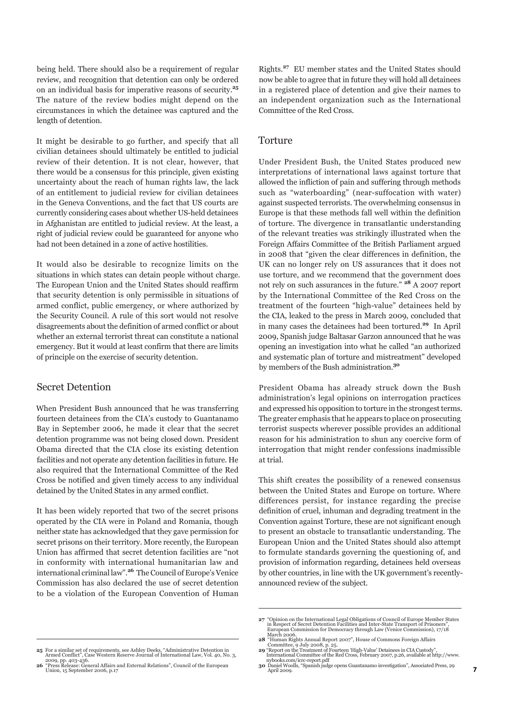being held. There should also be a requirement of regular review, and recognition that detention can only be ordered on an individual basis for imperative reasons of security.**<sup>25</sup>** The nature of the review bodies might depend on the circumstances in which the detainee was captured and the length of detention.

It might be desirable to go further, and specify that all civilian detainees should ultimately be entitled to judicial review of their detention. It is not clear, however, that there would be a consensus for this principle, given existing uncertainty about the reach of human rights law, the lack of an entitlement to judicial review for civilian detainees in the Geneva Conventions, and the fact that US courts are currently considering cases about whether US-held detainees in Afghanistan are entitled to judicial review. At the least, a right of judicial review could be guaranteed for anyone who had not been detained in a zone of active hostilities.

It would also be desirable to recognize limits on the situations in which states can detain people without charge. The European Union and the United States should reaffirm that security detention is only permissible in situations of armed conflict, public emergency, or where authorized by the Security Council. A rule of this sort would not resolve disagreements about the definition of armed conflict or about whether an external terrorist threat can constitute a national emergency. But it would at least confirm that there are limits of principle on the exercise of security detention.

#### Secret Detention

When President Bush announced that he was transferring fourteen detainees from the CIA's custody to Guantanamo Bay in September 2006, he made it clear that the secret detention programme was not being closed down. President Obama directed that the CIA close its existing detention facilities and not operate any detention facilities in future. He also required that the International Committee of the Red Cross be notified and given timely access to any individual detained by the United States in any armed conflict.

It has been widely reported that two of the secret prisons operated by the CIA were in Poland and Romania, though neither state has acknowledged that they gave permission for secret prisons on their territory. More recently, the European Union has affirmed that secret detention facilities are "not in conformity with international humanitarian law and international criminal law".**<sup>26</sup>** The Council of Europe's Venice Commission has also declared the use of secret detention to be a violation of the European Convention of Human Rights.**<sup>27</sup>** EU member states and the United States should now be able to agree that in future they will hold all detainees in a registered place of detention and give their names to an independent organization such as the International Committee of the Red Cross.

#### Torture

Under President Bush, the United States produced new interpretations of international laws against torture that allowed the infliction of pain and suffering through methods such as "waterboarding" (near-suffocation with water) against suspected terrorists. The overwhelming consensus in Europe is that these methods fall well within the definition of torture. The divergence in transatlantic understanding of the relevant treaties was strikingly illustrated when the Foreign Affairs Committee of the British Parliament argued in 2008 that "given the clear differences in definition, the UK can no longer rely on US assurances that it does not use torture, and we recommend that the government does not rely on such assurances in the future." **<sup>28</sup>** A 2007 report by the International Committee of the Red Cross on the treatment of the fourteen "high-value" detainees held by the CIA, leaked to the press in March 2009, concluded that in many cases the detainees had been tortured.**<sup>29</sup>** In April 2009, Spanish judge Baltasar Garzon announced that he was opening an investigation into what he called "an authorized and systematic plan of torture and mistreatment" developed by members of the Bush administration.**<sup>30</sup>**

President Obama has already struck down the Bush administration's legal opinions on interrogation practices and expressed his opposition to torture in the strongest terms. The greater emphasis that he appears to place on prosecuting terrorist suspects wherever possible provides an additional reason for his administration to shun any coercive form of interrogation that might render confessions inadmissible at trial.

This shift creates the possibility of a renewed consensus between the United States and Europe on torture. Where differences persist, for instance regarding the precise definition of cruel, inhuman and degrading treatment in the Convention against Torture, these are not significant enough to present an obstacle to transatlantic understanding. The European Union and the United States should also attempt to formulate standards governing the questioning of, and provision of information regarding, detainees held overseas by other countries, in line with the UK government's recentlyannounced review of the subject.

<sup>27 &</sup>quot;Opinion on the International Legal Obligations of Council of Europe Member States<br>in Respect of Secret Detention Facilities and Inter-State Transport of Prisoners",<br>European Commission for Democracy through Law (Venic

**<sup>29</sup>** "Report on the Treatment of Fourteen 'High-Value' Detainees in CIA Custody

**<sup>25</sup>** For a similar set of requirements, see Ashley Deeks, "Administrative Detention in Armed Conflict", Case Western Reserve Journal of International Law, Vol. 40, No. 3, 2009, pp. 403-436.<br>**26 "Press Release: General Aff** 

International Committee of the Red Cross, February 2007, p.26, available at http://www.<br>nybooks.com/icrc-report.pdf<br>**30** Daniel Woolls, "Spanish judge opens Guantanamo investigation", Associated Press, 29<br>April 2009.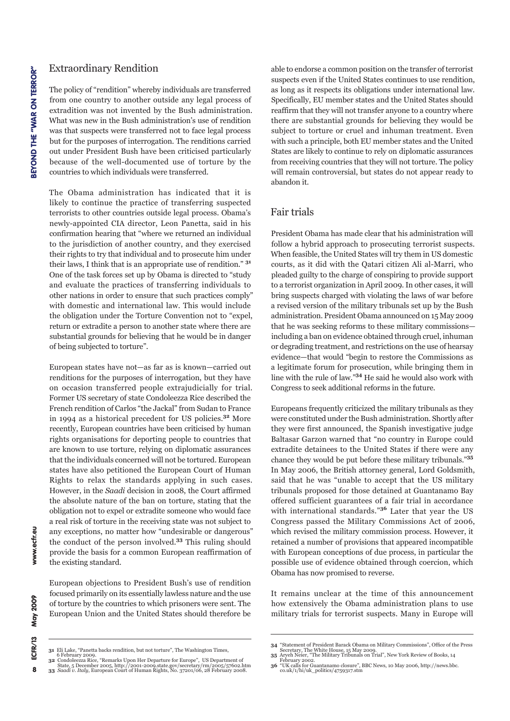#### Extraordinary Rendition

The policy of "rendition" whereby individuals are transferred from one country to another outside any legal process of extradition was not invented by the Bush administration. What was new in the Bush administration's use of rendition was that suspects were transferred not to face legal process but for the purposes of interrogation. The renditions carried out under President Bush have been criticised particularly because of the well-documented use of torture by the countries to which individuals were transferred.

The Obama administration has indicated that it is likely to continue the practice of transferring suspected terrorists to other countries outside legal process. Obama's newly-appointed CIA director, Leon Panetta, said in his confirmation hearing that "where we returned an individual to the jurisdiction of another country, and they exercised their rights to try that individual and to prosecute him under their laws, I think that is an appropriate use of rendition." **<sup>31</sup>** One of the task forces set up by Obama is directed to "study and evaluate the practices of transferring individuals to other nations in order to ensure that such practices comply" with domestic and international law. This would include the obligation under the Torture Convention not to "expel, return or extradite a person to another state where there are substantial grounds for believing that he would be in danger of being subjected to torture".

European states have not—as far as is known—carried out renditions for the purposes of interrogation, but they have on occasion transferred people extrajudicially for trial. Former US secretary of state Condoleezza Rice described the French rendition of Carlos "the Jackal" from Sudan to France in 1994 as a historical precedent for US policies.**<sup>32</sup>** More recently, European countries have been criticised by human rights organisations for deporting people to countries that are known to use torture, relying on diplomatic assurances that the individuals concerned will not be tortured. European states have also petitioned the European Court of Human Rights to relax the standards applying in such cases. However, in the *Saadi* decision in 2008, the Court affirmed the absolute nature of the ban on torture, stating that the obligation not to expel or extradite someone who would face a real risk of torture in the receiving state was not subject to any exceptions, no matter how "undesirable or dangerous" the conduct of the person involved.**<sup>33</sup>** This ruling should provide the basis for a common European reaffirmation of the existing standard.

European objections to President Bush's use of rendition focused primarily on its essentially lawless nature and the use of torture by the countries to which prisoners were sent. The European Union and the United States should therefore be able to endorse a common position on the transfer of terrorist suspects even if the United States continues to use rendition, as long as it respects its obligations under international law. Specifically, EU member states and the United States should reaffirm that they will not transfer anyone to a country where there are substantial grounds for believing they would be subject to torture or cruel and inhuman treatment. Even with such a principle, both EU member states and the United States are likely to continue to rely on diplomatic assurances from receiving countries that they will not torture. The policy will remain controversial, but states do not appear ready to abandon it.

#### Fair trials

President Obama has made clear that his administration will follow a hybrid approach to prosecuting terrorist suspects. When feasible, the United States will try them in US domestic courts, as it did with the Qatari citizen Ali al-Marri, who pleaded guilty to the charge of conspiring to provide support to a terrorist organization in April 2009. In other cases, it will bring suspects charged with violating the laws of war before a revised version of the military tribunals set up by the Bush administration. President Obama announced on 15 May 2009 that he was seeking reforms to these military commissions including a ban on evidence obtained through cruel, inhuman or degrading treatment, and restrictions on the use of hearsay evidence—that would "begin to restore the Commissions as a legitimate forum for prosecution, while bringing them in line with the rule of law."**<sup>34</sup>** He said he would also work with Congress to seek additional reforms in the future.

Europeans frequently criticized the military tribunals as they were constituted under the Bush administration. Shortly after they were first announced, the Spanish investigative judge Baltasar Garzon warned that "no country in Europe could extradite detainees to the United States if there were any chance they would be put before these military tribunals."**<sup>35</sup>** In May 2006, the British attorney general, Lord Goldsmith, said that he was "unable to accept that the US military tribunals proposed for those detained at Guantanamo Bay offered sufficient guarantees of a fair trial in accordance with international standards."**<sup>36</sup>** Later that year the US Congress passed the Military Commissions Act of 2006, which revised the military commission process. However, it retained a number of provisions that appeared incompatible with European conceptions of due process, in particular the possible use of evidence obtained through coercion, which Obama has now promised to reverse.

It remains unclear at the time of this announcement how extensively the Obama administration plans to use military trials for terrorist suspects. Many in Europe will

**<sup>31</sup>** Eli Lake, "Panetta backs rendition, but not torture", The Washington Times,

<sup>6</sup> February 2009. **<sup>32</sup>** Condoleezza Rice, "Remarks Upon Her Departure for Europe", US Department of

State, 5 December 2005, http://2001-2009.state.gov/secretary/rm/2005/57602.htm **<sup>33</sup>** *Saadi v. Italy*, European Court of Human Rights, No. 37201/06, 28 February 2008.

**<sup>34</sup>** "Statement of President Barack Obama on Military Commissions", Office of the Press

Secretary, The White House, 15 May 2009.<br>
18 Aryeh Neier, "The Military Tribunals on Trial", New York Review of Books, 14<br>
18 Tebruary 2002.<br>
18 Tebruary 2002.<br>
18 Tebruary 2002.<br>
26 "UK calls for Guantanamo closure", BBC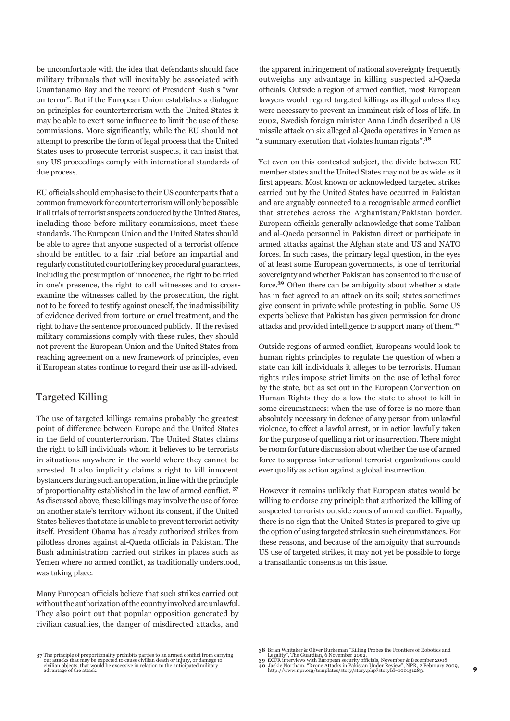be uncomfortable with the idea that defendants should face military tribunals that will inevitably be associated with Guantanamo Bay and the record of President Bush's "war on terror". But if the European Union establishes a dialogue on principles for counterterrorism with the United States it may be able to exert some influence to limit the use of these commissions. More significantly, while the EU should not attempt to prescribe the form of legal process that the United States uses to prosecute terrorist suspects, it can insist that any US proceedings comply with international standards of due process.

EU officials should emphasise to their US counterparts that a common framework for counterterrorism will only be possible if all trials of terrorist suspects conducted by the United States, including those before military commissions, meet these standards. The European Union and the United States should be able to agree that anyone suspected of a terrorist offence should be entitled to a fair trial before an impartial and regularly constituted court offering key procedural guarantees, including the presumption of innocence, the right to be tried in one's presence, the right to call witnesses and to crossexamine the witnesses called by the prosecution, the right not to be forced to testify against oneself, the inadmissibility of evidence derived from torture or cruel treatment, and the right to have the sentence pronounced publicly. If the revised military commissions comply with these rules, they should not prevent the European Union and the United States from reaching agreement on a new framework of principles, even if European states continue to regard their use as ill-advised.

# Targeted Killing

The use of targeted killings remains probably the greatest point of difference between Europe and the United States in the field of counterterrorism. The United States claims the right to kill individuals whom it believes to be terrorists in situations anywhere in the world where they cannot be arrested. It also implicitly claims a right to kill innocent bystanders during such an operation, in line with the principle of proportionality established in the law of armed conflict. **<sup>37</sup>** As discussed above, these killings may involve the use of force on another state's territory without its consent, if the United States believes that state is unable to prevent terrorist activity itself. President Obama has already authorized strikes from pilotless drones against al-Qaeda officials in Pakistan. The Bush administration carried out strikes in places such as Yemen where no armed conflict, as traditionally understood, was taking place.

Many European officials believe that such strikes carried out without the authorization of the country involved are unlawful. They also point out that popular opposition generated by civilian casualties, the danger of misdirected attacks, and

the apparent infringement of national sovereignty frequently outweighs any advantage in killing suspected al-Qaeda officials. Outside a region of armed conflict, most European lawyers would regard targeted killings as illegal unless they were necessary to prevent an imminent risk of loss of life. In 2002, Swedish foreign minister Anna Lindh described a US missile attack on six alleged al-Qaeda operatives in Yemen as "a summary execution that violates human rights".**<sup>38</sup>**

Yet even on this contested subject, the divide between EU member states and the United States may not be as wide as it first appears. Most known or acknowledged targeted strikes carried out by the United States have occurred in Pakistan and are arguably connected to a recognisable armed conflict that stretches across the Afghanistan/Pakistan border. European officials generally acknowledge that some Taliban and al-Qaeda personnel in Pakistan direct or participate in armed attacks against the Afghan state and US and NATO forces. In such cases, the primary legal question, in the eyes of at least some European governments, is one of territorial sovereignty and whether Pakistan has consented to the use of force.**<sup>39</sup>**Often there can be ambiguity about whether a state has in fact agreed to an attack on its soil; states sometimes give consent in private while protesting in public. Some US experts believe that Pakistan has given permission for drone attacks and provided intelligence to support many of them.**<sup>40</sup>**

Outside regions of armed conflict, Europeans would look to human rights principles to regulate the question of when a state can kill individuals it alleges to be terrorists. Human rights rules impose strict limits on the use of lethal force by the state, but as set out in the European Convention on Human Rights they do allow the state to shoot to kill in some circumstances: when the use of force is no more than absolutely necessary in defence of any person from unlawful violence, to effect a lawful arrest, or in action lawfully taken for the purpose of quelling a riot or insurrection. There might be room for future discussion about whether the use of armed force to suppress international terrorist organizations could ever qualify as action against a global insurrection.

However it remains unlikely that European states would be willing to endorse any principle that authorized the killing of suspected terrorists outside zones of armed conflict. Equally, there is no sign that the United States is prepared to give up the option of using targeted strikes in such circumstances. For these reasons, and because of the ambiguity that surrounds US use of targeted strikes, it may not yet be possible to forge a transatlantic consensus on this issue.

**<sup>37</sup>** The principle of proportionality prohibits parties to an armed conflict from carrying out attacks that may be expected to cause civilian death or injury, or damage to civilian objects, that would be excessive in rela

**<sup>38</sup>** Brian Whitaker & Oliver Burkeman "Killing Probes the Frontiers of Robotics and

Legality", The Guardian, 6 November 2002.<br> **39** ECFR interviews with European security officials, November & December 2008.<br>
40 Jackie Northam, "Drone Attacks in Pakistan Under Review", NPR, 2 February 2009,<br>
http://www.mp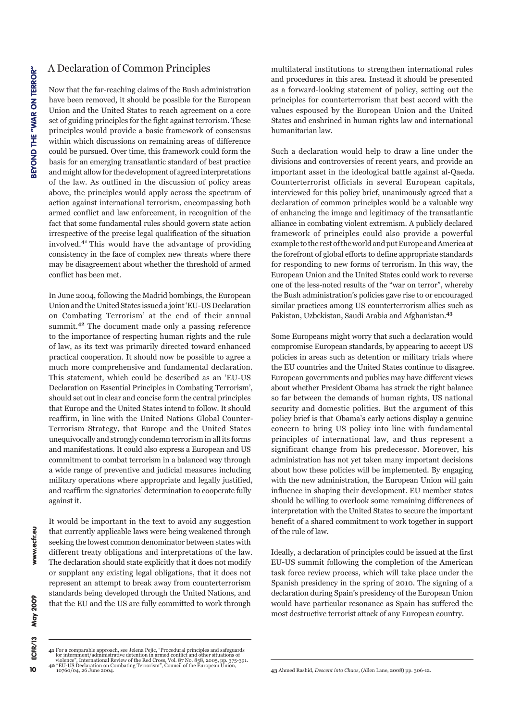# A Declaration of Common Principles

Terror" BEYOND THE "WAR ON TERROR" Beyond the "War on

Now that the far-reaching claims of the Bush administration have been removed, it should be possible for the European Union and the United States to reach agreement on a core set of guiding principles for the fight against terrorism. These principles would provide a basic framework of consensus within which discussions on remaining areas of difference could be pursued. Over time, this framework could form the basis for an emerging transatlantic standard of best practice and might allow for the development of agreed interpretations of the law. As outlined in the discussion of policy areas above, the principles would apply across the spectrum of action against international terrorism, encompassing both armed conflict and law enforcement, in recognition of the fact that some fundamental rules should govern state action irrespective of the precise legal qualification of the situation involved.**<sup>41</sup>**This would have the advantage of providing consistency in the face of complex new threats where there may be disagreement about whether the threshold of armed conflict has been met.

In June 2004, following the Madrid bombings, the European Union and the United States issued a joint 'EU-US Declaration on Combating Terrorism' at the end of their annual summit.**<sup>42</sup>** The document made only a passing reference to the importance of respecting human rights and the rule of law, as its text was primarily directed toward enhanced practical cooperation. It should now be possible to agree a much more comprehensive and fundamental declaration. This statement, which could be described as an 'EU-US Declaration on Essential Principles in Combating Terrorism', should set out in clear and concise form the central principles that Europe and the United States intend to follow. It should reaffirm, in line with the United Nations Global Counter-Terrorism Strategy, that Europe and the United States unequivocally and strongly condemn terrorism in all its forms and manifestations. It could also express a European and US commitment to combat terrorism in a balanced way through a wide range of preventive and judicial measures including military operations where appropriate and legally justified, and reaffirm the signatories' determination to cooperate fully against it.

It would be important in the text to avoid any suggestion that currently applicable laws were being weakened through seeking the lowest common denominator between states with different treaty obligations and interpretations of the law. The declaration should state explicitly that it does not modify or supplant any existing legal obligations, that it does not represent an attempt to break away from counterterrorism standards being developed through the United Nations, and that the EU and the US are fully committed to work through

multilateral institutions to strengthen international rules and procedures in this area. Instead it should be presented as a forward-looking statement of policy, setting out the principles for counterterrorism that best accord with the values espoused by the European Union and the United States and enshrined in human rights law and international humanitarian law.

Such a declaration would help to draw a line under the divisions and controversies of recent years, and provide an important asset in the ideological battle against al-Qaeda. Counterterrorist officials in several European capitals, interviewed for this policy brief, unanimously agreed that a declaration of common principles would be a valuable way of enhancing the image and legitimacy of the transatlantic alliance in combating violent extremism. A publicly declared framework of principles could also provide a powerful example to the rest of the world and put Europe and America at the forefront of global efforts to define appropriate standards for responding to new forms of terrorism. In this way, the European Union and the United States could work to reverse one of the less-noted results of the "war on terror", whereby the Bush administration's policies gave rise to or encouraged similar practices among US counterterrorism allies such as Pakistan, Uzbekistan, Saudi Arabia and Afghanistan.**<sup>43</sup>**

Some Europeans might worry that such a declaration would compromise European standards, by appearing to accept US policies in areas such as detention or military trials where the EU countries and the United States continue to disagree. European governments and publics may have different views about whether President Obama has struck the right balance so far between the demands of human rights, US national security and domestic politics. But the argument of this policy brief is that Obama's early actions display a genuine concern to bring US policy into line with fundamental principles of international law, and thus represent a significant change from his predecessor. Moreover, his administration has not yet taken many important decisions about how these policies will be implemented. By engaging with the new administration, the European Union will gain influence in shaping their development. EU member states should be willing to overlook some remaining differences of interpretation with the United States to secure the important benefit of a shared commitment to work together in support of the rule of law.

Ideally, a declaration of principles could be issued at the first EU-US summit following the completion of the American task force review process, which will take place under the Spanish presidency in the spring of 2010. The signing of a declaration during Spain's presidency of the European Union would have particular resonance as Spain has suffered the most destructive terrorist attack of any European country.

<sup>41</sup> For a comparable approach, see Jelena Pejic, "Procedural principles and safeguards<br>for intermnent/administrative detention in armed conflict and other situations of<br>violence", International Review of the Red Cross, Vol.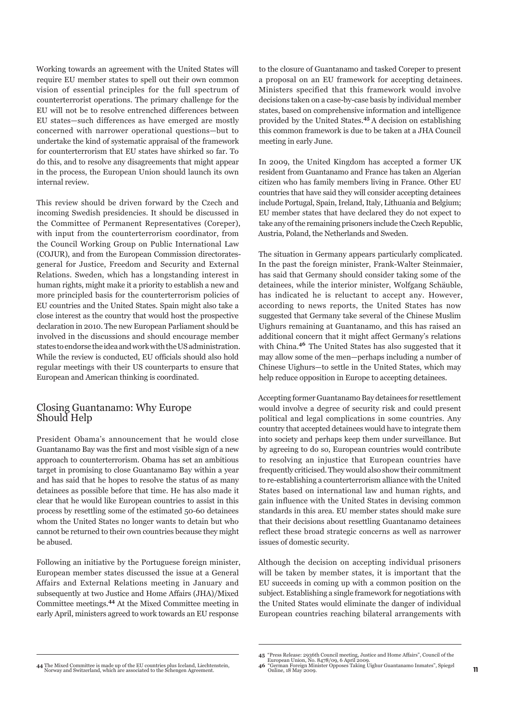Working towards an agreement with the United States will require EU member states to spell out their own common vision of essential principles for the full spectrum of counterterrorist operations. The primary challenge for the EU will not be to resolve entrenched differences between EU states—such differences as have emerged are mostly concerned with narrower operational questions—but to undertake the kind of systematic appraisal of the framework for counterterrorism that EU states have shirked so far. To do this, and to resolve any disagreements that might appear in the process, the European Union should launch its own internal review.

This review should be driven forward by the Czech and incoming Swedish presidencies. It should be discussed in the Committee of Permanent Representatives (Coreper), with input from the counterterrorism coordinator, from the Council Working Group on Public International Law (COJUR), and from the European Commission directoratesgeneral for Justice, Freedom and Security and External Relations. Sweden, which has a longstanding interest in human rights, might make it a priority to establish a new and more principled basis for the counterterrorism policies of EU countries and the United States. Spain might also take a close interest as the country that would host the prospective declaration in 2010. The new European Parliament should be involved in the discussions and should encourage member states to endorse the idea and work with the US administration. While the review is conducted, EU officials should also hold regular meetings with their US counterparts to ensure that European and American thinking is coordinated.

#### Closing Guantanamo: Why Europe Should Help

President Obama's announcement that he would close Guantanamo Bay was the first and most visible sign of a new approach to counterterrorism. Obama has set an ambitious target in promising to close Guantanamo Bay within a year and has said that he hopes to resolve the status of as many detainees as possible before that time. He has also made it clear that he would like European countries to assist in this process by resettling some of the estimated 50-60 detainees whom the United States no longer wants to detain but who cannot be returned to their own countries because they might be abused.

Following an initiative by the Portuguese foreign minister, European member states discussed the issue at a General Affairs and External Relations meeting in January and subsequently at two Justice and Home Affairs (JHA)/Mixed Committee meetings.**<sup>44</sup>** At the Mixed Committee meeting in early April, ministers agreed to work towards an EU response

to the closure of Guantanamo and tasked Coreper to present a proposal on an EU framework for accepting detainees. Ministers specified that this framework would involve decisions taken on a case-by-case basis by individual member states, based on comprehensive information and intelligence provided by the United States.**<sup>45</sup>**A decision on establishing this common framework is due to be taken at a JHA Council meeting in early June.

In 2009, the United Kingdom has accepted a former UK resident from Guantanamo and France has taken an Algerian citizen who has family members living in France. Other EU countries that have said they will consider accepting detainees include Portugal, Spain, Ireland, Italy, Lithuania and Belgium; EU member states that have declared they do not expect to take any of the remaining prisoners include the Czech Republic, Austria, Poland, the Netherlands and Sweden.

The situation in Germany appears particularly complicated. In the past the foreign minister, Frank-Walter Steinmaier, has said that Germany should consider taking some of the detainees, while the interior minister, Wolfgang Schäuble, has indicated he is reluctant to accept any. However, according to news reports, the United States has now suggested that Germany take several of the Chinese Muslim Uighurs remaining at Guantanamo, and this has raised an additional concern that it might affect Germany's relations with China.<sup>46</sup> The United States has also suggested that it may allow some of the men—perhaps including a number of Chinese Uighurs—to settle in the United States, which may help reduce opposition in Europe to accepting detainees.

Accepting former Guantanamo Bay detainees for resettlement would involve a degree of security risk and could present political and legal complications in some countries. Any country that accepted detainees would have to integrate them into society and perhaps keep them under surveillance. But by agreeing to do so, European countries would contribute to resolving an injustice that European countries have frequently criticised. They would also show their commitment to re-establishing a counterterrorism alliance with the United States based on international law and human rights, and gain influence with the United States in devising common standards in this area. EU member states should make sure that their decisions about resettling Guantanamo detainees reflect these broad strategic concerns as well as narrower issues of domestic security.

Although the decision on accepting individual prisoners will be taken by member states, it is important that the EU succeeds in coming up with a common position on the subject. Establishing a single framework for negotiations with the United States would eliminate the danger of individual European countries reaching bilateral arrangements with

<sup>44</sup> The Mixed Committee is made up of the EU countries plus Iceland, Liechtenstein, Norway and Switzerland, which are associated to the Schengen Agreement.

<sup>11</sup> **<sup>44</sup>** The Mixed Committee is made up of the EU countries plus Iceland, Liechtenstein, 45 "Press Release: 2936th Council meeting, Justice and Home Affairs", Council of the European Union, No. 8478/09, 6 April 2009.<br>46 "German Foreign Minister Opposes Taking Uighur Guantanamo Inmates", Spiegel Online, 18 May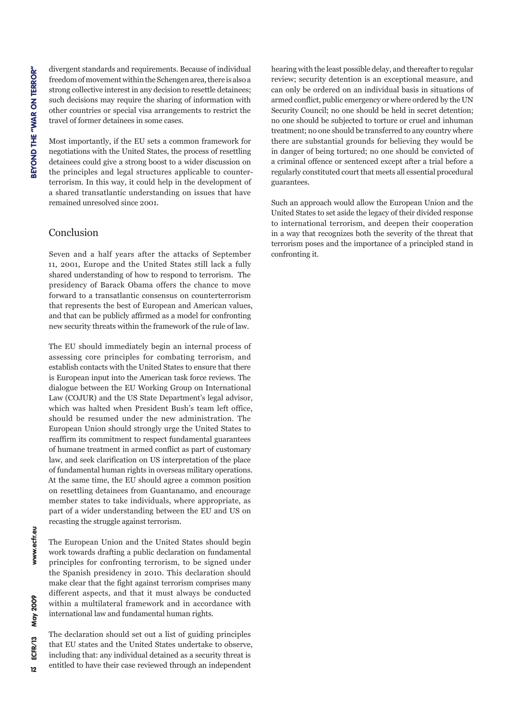divergent standards and requirements. Because of individual freedom of movement within the Schengen area, there is also a strong collective interest in any decision to resettle detainees; such decisions may require the sharing of information with other countries or special visa arrangements to restrict the travel of former detainees in some cases.

Most importantly, if the EU sets a common framework for negotiations with the United States, the process of resettling detainees could give a strong boost to a wider discussion on the principles and legal structures applicable to counterterrorism. In this way, it could help in the development of a shared transatlantic understanding on issues that have remained unresolved since 2001.

# Conclusion

Seven and a half years after the attacks of September 11, 2001, Europe and the United States still lack a fully shared understanding of how to respond to terrorism. The presidency of Barack Obama offers the chance to move forward to a transatlantic consensus on counterterrorism that represents the best of European and American values, and that can be publicly affirmed as a model for confronting new security threats within the framework of the rule of law.

The EU should immediately begin an internal process of assessing core principles for combating terrorism, and establish contacts with the United States to ensure that there is European input into the American task force reviews. The dialogue between the EU Working Group on International Law (COJUR) and the US State Department's legal advisor, which was halted when President Bush's team left office, should be resumed under the new administration. The European Union should strongly urge the United States to reaffirm its commitment to respect fundamental guarantees of humane treatment in armed conflict as part of customary law, and seek clarification on US interpretation of the place of fundamental human rights in overseas military operations. At the same time, the EU should agree a common position on resettling detainees from Guantanamo, and encourage member states to take individuals, where appropriate, as part of a wider understanding between the EU and US on recasting the struggle against terrorism.

The European Union and the United States should begin work towards drafting a public declaration on fundamental principles for confronting terrorism, to be signed under the Spanish presidency in 2010. This declaration should make clear that the fight against terrorism comprises many different aspects, and that it must always be conducted within a multilateral framework and in accordance with international law and fundamental human rights.

The declaration should set out a list of guiding principles that EU states and the United States undertake to observe, including that: any individual detained as a security threat is entitled to have their case reviewed through an independent

hearing with the least possible delay, and thereafter to regular review; security detention is an exceptional measure, and can only be ordered on an individual basis in situations of armed conflict, public emergency or where ordered by the UN Security Council; no one should be held in secret detention; no one should be subjected to torture or cruel and inhuman treatment; no one should be transferred to any country where there are substantial grounds for believing they would be in danger of being tortured; no one should be convicted of a criminal offence or sentenced except after a trial before a regularly constituted court that meets all essential procedural guarantees.

Such an approach would allow the European Union and the United States to set aside the legacy of their divided response to international terrorism, and deepen their cooperation in a way that recognizes both the severity of the threat that terrorism poses and the importance of a principled stand in confronting it.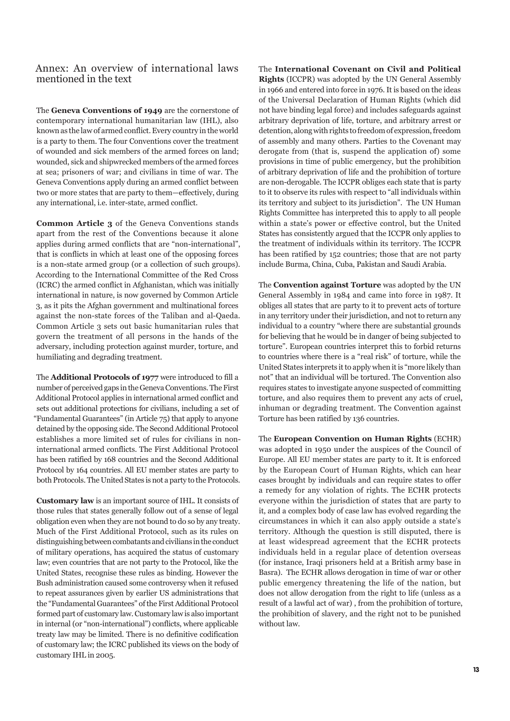#### Annex: An overview of international laws mentioned in the text

The **Geneva Conventions of 1949** are the cornerstone of contemporary international humanitarian law (IHL), also known as the law of armed conflict. Every country in the world is a party to them. The four Conventions cover the treatment of wounded and sick members of the armed forces on land; wounded, sick and shipwrecked members of the armed forces at sea; prisoners of war; and civilians in time of war. The Geneva Conventions apply during an armed conflict between two or more states that are party to them—effectively, during any international, i.e. inter-state, armed conflict.

**Common Article 3** of the Geneva Conventions stands apart from the rest of the Conventions because it alone applies during armed conflicts that are "non-international", that is conflicts in which at least one of the opposing forces is a non-state armed group (or a collection of such groups). According to the International Committee of the Red Cross (ICRC) the armed conflict in Afghanistan, which was initially international in nature, is now governed by Common Article 3, as it pits the Afghan government and multinational forces against the non-state forces of the Taliban and al-Qaeda. Common Article 3 sets out basic humanitarian rules that govern the treatment of all persons in the hands of the adversary, including protection against murder, torture, and humiliating and degrading treatment.

The **Additional Protocols of 1977** were introduced to fill a number of perceived gaps in the Geneva Conventions. The First Additional Protocol applies in international armed conflict and sets out additional protections for civilians, including a set of "Fundamental Guarantees" (in Article 75) that apply to anyone detained by the opposing side. The Second Additional Protocol establishes a more limited set of rules for civilians in noninternational armed conflicts. The First Additional Protocol has been ratified by 168 countries and the Second Additional Protocol by 164 countries. All EU member states are party to both Protocols. The United States is not a party to the Protocols.

**Customary law** is an important source of IHL. It consists of those rules that states generally follow out of a sense of legal obligation even when they are not bound to do so by any treaty. Much of the First Additional Protocol, such as its rules on distinguishing between combatants and civilians in the conduct of military operations, has acquired the status of customary law; even countries that are not party to the Protocol, like the United States, recognise these rules as binding. However the Bush administration caused some controversy when it refused to repeat assurances given by earlier US administrations that the "Fundamental Guarantees" of the First Additional Protocol formed part of customary law. Customary law is also important in internal (or "non-international") conflicts, where applicable treaty law may be limited. There is no definitive codification of customary law; the ICRC published its views on the body of customary IHL in 2005.

The **International Covenant on Civil and Political Rights** (ICCPR) was adopted by the UN General Assembly in 1966 and entered into force in 1976. It is based on the ideas of the Universal Declaration of Human Rights (which did not have binding legal force) and includes safeguards against arbitrary deprivation of life, torture, and arbitrary arrest or detention, along with rights to freedom of expression, freedom of assembly and many others. Parties to the Covenant may derogate from (that is, suspend the application of) some provisions in time of public emergency, but the prohibition of arbitrary deprivation of life and the prohibition of torture are non-derogable. The ICCPR obliges each state that is party to it to observe its rules with respect to "all individuals within its territory and subject to its jurisdiction". The UN Human Rights Committee has interpreted this to apply to all people within a state's power or effective control, but the United States has consistently argued that the ICCPR only applies to the treatment of individuals within its territory. The ICCPR has been ratified by 152 countries; those that are not party include Burma, China, Cuba, Pakistan and Saudi Arabia.

The **Convention against Torture** was adopted by the UN General Assembly in 1984 and came into force in 1987. It obliges all states that are party to it to prevent acts of torture in any territory under their jurisdiction, and not to return any individual to a country "where there are substantial grounds for believing that he would be in danger of being subjected to torture". European countries interpret this to forbid returns to countries where there is a "real risk" of torture, while the United States interprets it to apply when it is "more likely than not" that an individual will be tortured. The Convention also requires states to investigate anyone suspected of committing torture, and also requires them to prevent any acts of cruel, inhuman or degrading treatment. The Convention against Torture has been ratified by 136 countries.

The **European Convention on Human Rights** (ECHR) was adopted in 1950 under the auspices of the Council of Europe. All EU member states are party to it. It is enforced by the European Court of Human Rights, which can hear cases brought by individuals and can require states to offer a remedy for any violation of rights. The ECHR protects everyone within the jurisdiction of states that are party to it, and a complex body of case law has evolved regarding the circumstances in which it can also apply outside a state's territory. Although the question is still disputed, there is at least widespread agreement that the ECHR protects individuals held in a regular place of detention overseas (for instance, Iraqi prisoners held at a British army base in Basra). The ECHR allows derogation in time of war or other public emergency threatening the life of the nation, but does not allow derogation from the right to life (unless as a result of a lawful act of war) , from the prohibition of torture, the prohibition of slavery, and the right not to be punished without law.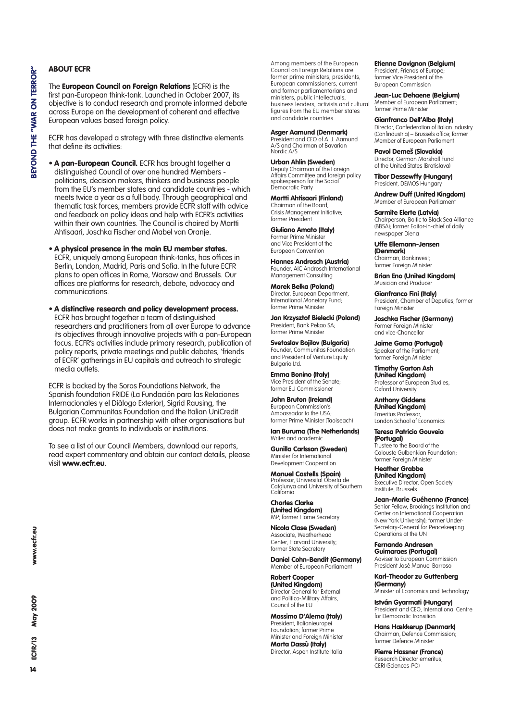#### ABOUT ECFR

The **European Council on Foreign Relations** (ECFR) is the first pan-European think-tank. Launched in October 2007, its objective is to conduct research and promote informed debate across Europe on the development of coherent and effective European values based foreign policy.

ECFR has developed a strategy with three distinctive elements that define its activities:

• A pan-European Council. ECFR has brought together a distinguished Council of over one hundred Members politicians, decision makers, thinkers and business people from the EU's member states and candidate countries - which meets twice a year as a full body. Through geographical and thematic task forces, members provide ECFR staff with advice and feedback on policy ideas and help with ECFR's activities within their own countries. The Council is chaired by Martti Ahtisaari, Joschka Fischer and Mabel van Oranje.

- A physical presence in the main EU member states. ECFR, uniquely among European think-tanks, has offices in Berlin, London, Madrid, Paris and Sofia. In the future ECFR plans to open offices in Rome, Warsaw and Brussels. Our offices are platforms for research, debate, advocacy and communications.
- A distinctive research and policy development process. ECFR has brought together a team of distinguished researchers and practitioners from all over Europe to advance its objectives through innovative projects with a pan-European focus. ECFR's activities include primary research, publication of policy reports, private meetings and public debates, 'friends of ECFR' gatherings in EU capitals and outreach to strategic media outlets.

ECFR is backed by the Soros Foundations Network, the Spanish foundation FRIDE (La Fundación para las Relaciones Internacionales y el Diálogo Exterior), Sigrid Rausing, the Bulgarian Communitas Foundation and the Italian UniCredit group. ECFR works in partnership with other organisations but does not make grants to individuals or institutions.

To see a list of our Council Members, download our reports, read expert commentary and obtain our contact details, please visit www.ecfr.eu.

Among members of the European Council on Foreign Relations are former prime ministers, presidents, European commissioners, current and former parliamentarians and ministers, public intellectuals, business leaders, activists and cultural figures from the EU member states and candidate countries.

Asger Aamund (Denmark) President and CEO of A. J. Aamund A/S and Chairman of Bavarian Nordic A/S

Urban Ahlin (Sweden) Deputy Chairman of the Foreign Affairs Committee and foreign policy spokesperson for the Social Democratic Party

Martti Ahtisaari (Finland) Chairman of the Board, Crisis Management Initiative; former President

Giuliano Amato (Italy) Former Prime Minister and Vice President of the European Convention

Hannes Androsch (Austria) Founder, AIC Androsch International Management Consulting

Marek Belka (Poland) Director, European Department, International Monetary Fund; former Prime Minister

Jan Krzysztof Bielecki (Poland) President, Bank Pekao SA; former Prime Ministe

Svetoslav Bojilov (Bulgaria) Founder, Communitas Foundation and President of Venture Equity Bulgaria Ltd.

Emma Bonino (Italy) Vice President of the Senate; former EU Commissioner

John Bruton (Ireland) European Commission's Ambassador to the USA; former Prime Minister (Taoiseach)

Ian Buruma (The Netherlands) Writer and academic

Gunilla Carlsson (Sweden) Minister for International Development Cooperation

Manuel Castells (Spain) Professor, Universitat Oberta de Catalunya and University of Southern California

Charles Clarke (United Kingdom) MP; former Home Secretary

Nicola Clase (Sweden) Associate, Weatherhead Center, Harvard University; former State Secretary

Daniel Cohn-Bendit (Germany) Member of European Parliament

Robert Cooper (United Kingdom) Director General for External and Politico-Military Affairs, Council of the EU

Massimo D'Alema (Italy) President, Italianieurope Foundation; former Prime Minister and Foreign Minister

Marta Dassù (Italy) Director, Aspen Institute Italia Etienne Davignon (Belgium) President, Friends of Europe; former Vice President of the European Commission

Jean-Luc Dehaene (Belgium) Member of European Parliament; former Prime Minister

Gianfranco Dell'Alba (Italy) Director, Confederation of Italian Industry (Confindustria) – Brussels office; former Member of European Parliament

Pavol Demeš (Slovakia) Director, German Marshall Fund of the United States (Bratislava)

Tibor Dessewffy (Hungary) President, DEMOS Hungary

Andrew Duff (United Kingdom) Member of European Parliament

Sarmite Elerte (Latvia) Chairperson, Baltic to Black Sea Alliance (BBSA); former Editor-in-chief of daily newspaper Diena

Uffe Ellemann-Jensen (Denmark) Chairman, Bankinvest; former Foreign Ministe

Brian Eno (United Kingdom) Musician and Producer

**Gianfranco Fini (Italy)**<br>President, Chamber of Deputies; former Foreign Minister

Joschka Fischer (Germany) Former Foreign Minister and vice-Chancellor

Jaime Gama (Portugal) Speaker of the Parliament; former Foreign Minister

Timothy Garton Ash (United Kingdom) Professor of European Studies, Oxford University

Anthony Giddens (United Kingdom) Emeritus Professor, London School of Economics

Teresa Patricio Gouveia

(Portugal) Trustee to the Board of the Calouste Gulbenkian Foundation; former Foreign Minister

Heather Grabbe (United Kingdom) Executive Director, Open Society Institute, Brussels

Jean-Marie Guéhenno (France) Senior Fellow, Brookings Institution and Center on International Cooperation (New York University); former Under-Secretary-General for Peacekeeping Operations at the UN

Fernando Andresen Guimaraes (Portugal) Adviser to European Commission President José Manuel Barroso

Karl-Theodor zu Guttenberg (Germany) Minister of Economics and Technology

István Gyarmati (Hungary) President and CEO, International Centre for Democratic Transition

Hans Hækkerup (Denmark) Chairman, Defence Commission; former Defence Minister

Pierre Hassner (France) Research Director emeritus, CERI (Sciences-PO)

 $14$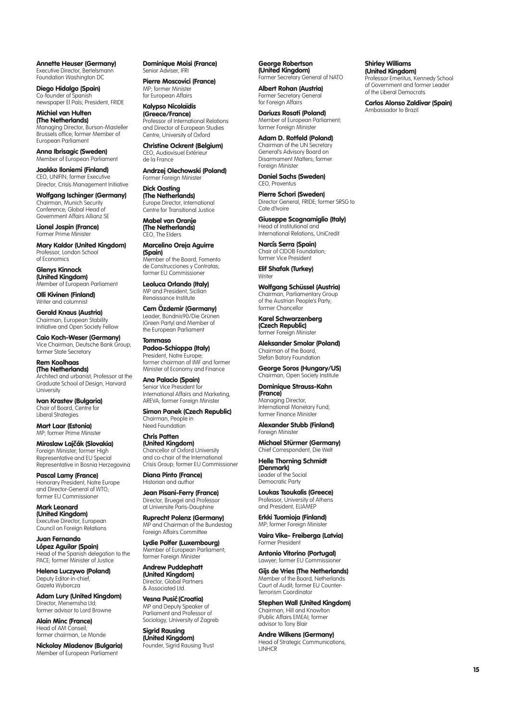Annette Heuser (Germany) Executive Director, Bertelsmann Foundation Washington DC

Diego Hidalgo (Spain) Co-founder of Spanish newspaper El País; President, FRIDE

Michiel van Hulten (The Netherlands) Managing Director, Burson-Masteller Brussels office; former Member of European Parliament

Anna Ibrisagic (Sweden) Member of European Parliament

Jaakko Iloniemi (Finland) CEO, UNIFIN; former Executive Director, Crisis Management Initiative

Wolfgang Ischinger (Germany) Chairman, Munich Security Conference; Global Head of Government Affairs Allianz SE

Lionel Jospin (France) Former Prime Minister

Mary Kaldor (United Kingdom) Professor, London School of Economics

Glenys Kinnock (United Kingdom) Member of European Parliament

Olli Kivinen (Finland) Writer and columnist

Gerald Knaus (Austria) Chairman, European Stability Initiative and Open Society Fellow

**Caio Koch-Weser (Germany)**<br>Vice Chairman, Deutsche Bank Group; former State Secretary

Rem Koolhaas (The Netherlands) Architect and urbanist; Professor at the Graduate School of Design, Harvard **University** 

Ivan Krastev (Bulgaria) Chair of Board, Centre for Liberal Strategies

Mart Laar (Estonia) MP; former Prime Minister

Miroslaw Lajčák (Slovakia) Foreign Minister; former High Representative and EU Special Representative in Bosnia Herzegovina

Pascal Lamy (France) Honorary President, Notre Europe and Director-General of WTO; former EU Commissioner

Mark Leonard (United Kingdom) Executive Director, European Council on Foreign Relations

Juan Fernando López Aguilar (Spain) Head of the Spanish delegation to the PACE; former Minister of Justice

Helena Luczywo (Poland) Deputy Editor-in-chief, Gazeta Wyborcza

Adam Lury (United Kingdom) Director, Menemsha Ltd; former advisor to Lord Browne

Alain Minc (France) Head of AM Conseil; former chairman, Le Monde

Nickolay Mladenov (Bulgaria) Member of European Parliament

Dominique Moisi (France) Senior Adviser, IFRI

Pierre Moscovici (France) MP; former Minister for European Affairs

Kalypso Nicolaïdis (Greece/France) Professor of International Relations and Director of European Studies Centre, University of Oxford

Christine Ockrent (Belgium) CEO, Audiovisuel Extérieur de la France

Andrzej Olechowski (Poland) Former Foreign Minister

Dick Oosting (The Netherlands) Europe Director, International Centre for Transitional Justice

Mabel van Oranje (The Netherlands) CEO, The Elders

Marcelino Oreja Aguirre (Spain) Member of the Board, Fomento

de Construcciones y Contratas; former EU Commissioner

Leoluca Orlando (Italy) MP and President, Sicilian Renaissance Institute

Cem Özdemir (Germany) Leader, Bündnis90/Die Grünen (Green Party) and Member of the European Parliament

Tommaso Padoa-Schioppa (Italy) President, Notre Europe; former chairman of IMF and former Minister of Economy and Finance

Ana Palacio (Spain) Senior Vice President for International Affairs and Marketing, AREVA; former Foreign Minister

Simon Panek (Czech Republic) Chairman, People in Need Foundation

Chris Patten (United Kingdom) Chancellor of Oxford University and co-chair of the International

Crisis Group; former EU Commissioner Diana Pinto (France) Historian and author

**Jean Pisani-Ferry (France)**<br>Director, Bruegel and Professor at Universite Paris-Dauphine

Ruprecht Polenz (Germany) MP and Chairman of the Bundestag Foreign Affairs Committee

Lydie Polfer (Luxembourg) Member of European Parliament; former Foreign Minister

Andrew Puddephatt (United Kingdom) Director, Global Partners & Associated Ltd.

Vesna Pusić (Croatia) MP and Deputy Speaker of Parliament and Professor of Sociology, University of Zagreb

Sigrid Rausing (United Kingdom) Founder, Sigrid Rausing Trust George Robertson (United Kingdom) Former Secretary General of NATO

Albert Rohan (Austria) Former Secretary General for Foreign Affairs

Dariuzs Rosati (Poland) Member of European Parliament; former Foreign Minister

Adam D. Rotfeld (Poland) Chairman of the UN Secretary General's Advisory Board on Disarmament Matters; former Foreign Minister

Daniel Sachs (Sweden) CEO, Proventus

Pierre Schori (Sweden) Director General, FRIDE; former SRSG to Cote d'Ivoire

**Giuseppe Scognamiglio (Italy)**<br>Head of Institutional and International Relations, UniCredit

Narcís Serra (Spain) Chair of CIDOB Foundation; former Vice President

Elif Shafak (Turkey) Writer

Wolfgang Schüssel (Austria) Chairman, Parliamentary Group of the Austrian People's Party; former Chancello

Karel Schwarzenberg (Czech Republic) former Foreign Minister

Aleksander Smolar (Poland) Chairman of the Board, Stefan Batory Foundation

George Soros (Hungary/US) Chairman, Open Society Institute

Dominique Strauss-Kahn (France) Managing Director, International Monetary Fund; former Finance Minister

Alexander Stubb (Finland) Foreign Minister

Michael Stürmer (Germany) Chief Correspondent, Die Welt

Helle Thorning Schmidt (Denmark) Leader of the Social Democratic Party

Loukas Tsoukalis (Greece) Professor, University of Athens and President, ELIAMEP

Erkki Tuomioja (Finland) MP: former Foreign Minister

Vaira Vike- Freiberga (Latvia) Former President

**Antonio Vitorino (Portugal)**<br>Lawyer; former EU Commissioner

Gijs de Vries (The Netherlands) Member of the Board, Netherlands Court of Audit; former EU Counter-Terrorism Coordinator

Stephen Wall (United Kingdom) Chairman, Hill and Knowlton (Public Affairs EMEA); former advisor to Tony Blair

Andre Wilkens (Germany) Head of Strategic Communications, UNHCR

Shirley Williams (United Kingdom)

Professor Emeritus, Kennedy School of Government and former Leader of the Liberal Democrats

Carlos Alonso Zaldivar (Spain) Ambassador to Brazil